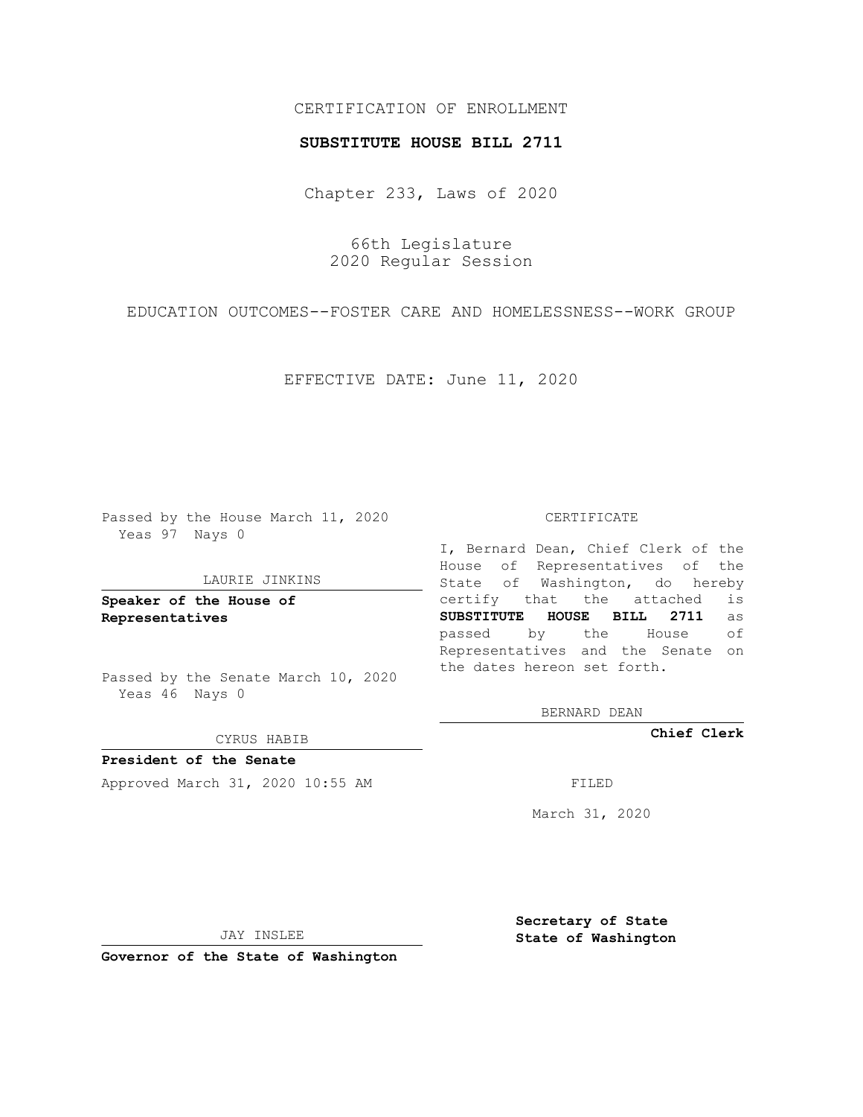## CERTIFICATION OF ENROLLMENT

#### **SUBSTITUTE HOUSE BILL 2711**

Chapter 233, Laws of 2020

66th Legislature 2020 Regular Session

EDUCATION OUTCOMES--FOSTER CARE AND HOMELESSNESS--WORK GROUP

EFFECTIVE DATE: June 11, 2020

Passed by the House March 11, 2020 Yeas 97 Nays 0

#### LAURIE JINKINS

**Speaker of the House of Representatives**

Passed by the Senate March 10, 2020 Yeas 46 Nays 0

CYRUS HABIB

**President of the Senate** Approved March 31, 2020 10:55 AM FILED

#### CERTIFICATE

I, Bernard Dean, Chief Clerk of the House of Representatives of the State of Washington, do hereby certify that the attached is **SUBSTITUTE HOUSE BILL 2711** as passed by the House of Representatives and the Senate on the dates hereon set forth.

BERNARD DEAN

**Chief Clerk**

March 31, 2020

JAY INSLEE

**Governor of the State of Washington**

**Secretary of State State of Washington**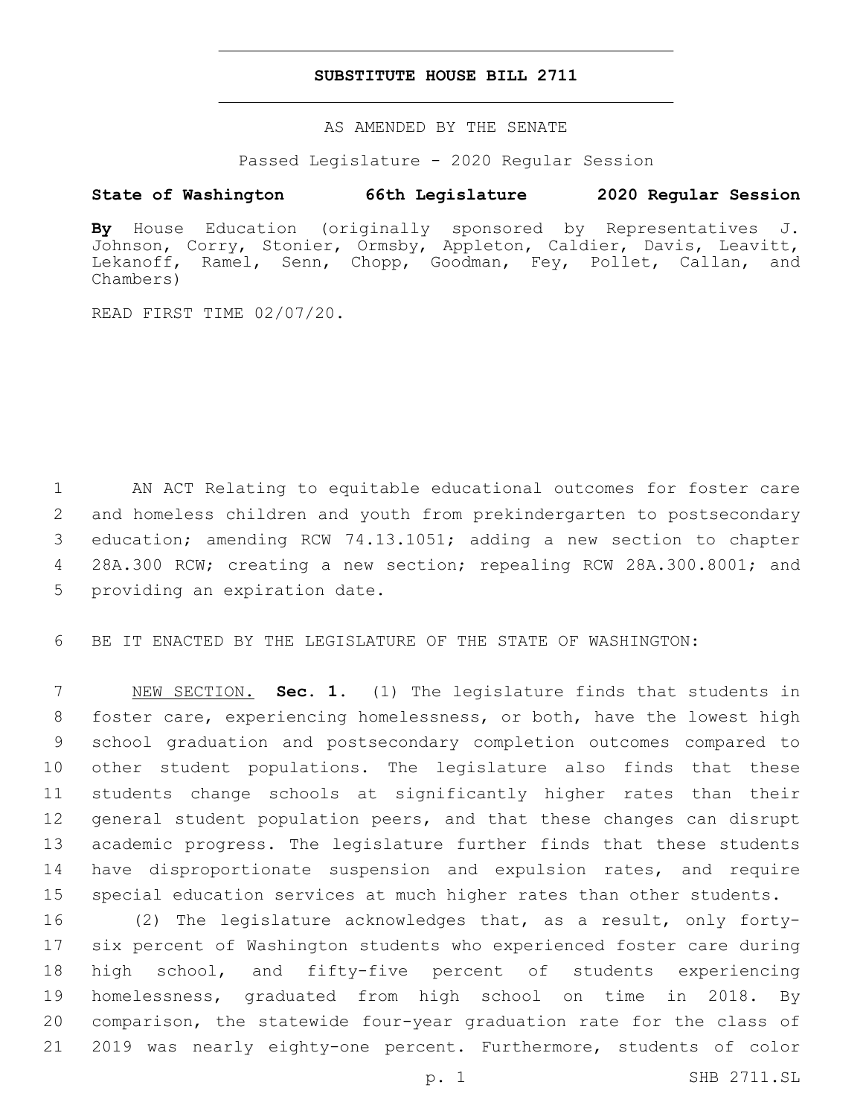### **SUBSTITUTE HOUSE BILL 2711**

AS AMENDED BY THE SENATE

Passed Legislature - 2020 Regular Session

# **State of Washington 66th Legislature 2020 Regular Session**

**By** House Education (originally sponsored by Representatives J. Johnson, Corry, Stonier, Ormsby, Appleton, Caldier, Davis, Leavitt, Lekanoff, Ramel, Senn, Chopp, Goodman, Fey, Pollet, Callan, and Chambers)

READ FIRST TIME 02/07/20.

1 AN ACT Relating to equitable educational outcomes for foster care 2 and homeless children and youth from prekindergarten to postsecondary 3 education; amending RCW 74.13.1051; adding a new section to chapter 4 28A.300 RCW; creating a new section; repealing RCW 28A.300.8001; and 5 providing an expiration date.

6 BE IT ENACTED BY THE LEGISLATURE OF THE STATE OF WASHINGTON:

 NEW SECTION. **Sec. 1.** (1) The legislature finds that students in foster care, experiencing homelessness, or both, have the lowest high school graduation and postsecondary completion outcomes compared to other student populations. The legislature also finds that these students change schools at significantly higher rates than their general student population peers, and that these changes can disrupt academic progress. The legislature further finds that these students 14 have disproportionate suspension and expulsion rates, and require special education services at much higher rates than other students.

 (2) The legislature acknowledges that, as a result, only forty- six percent of Washington students who experienced foster care during high school, and fifty-five percent of students experiencing homelessness, graduated from high school on time in 2018. By comparison, the statewide four-year graduation rate for the class of 2019 was nearly eighty-one percent. Furthermore, students of color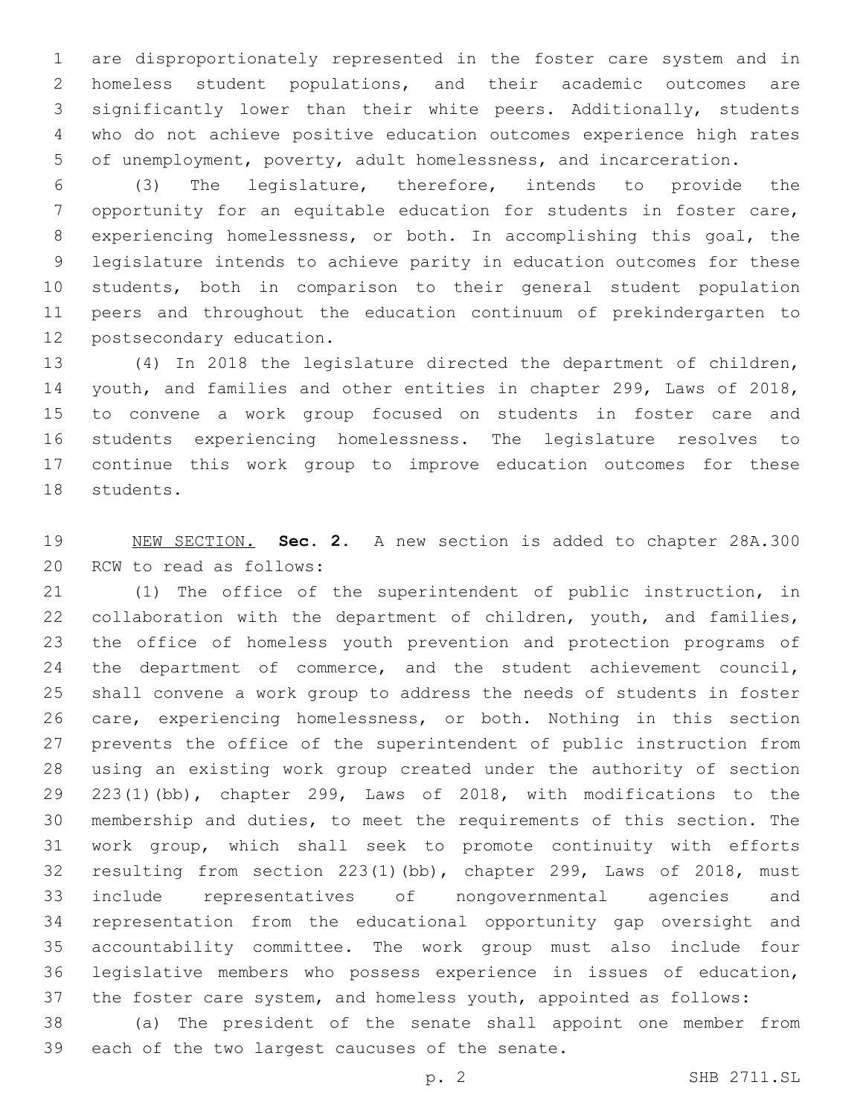are disproportionately represented in the foster care system and in homeless student populations, and their academic outcomes are significantly lower than their white peers. Additionally, students who do not achieve positive education outcomes experience high rates of unemployment, poverty, adult homelessness, and incarceration.

 (3) The legislature, therefore, intends to provide the opportunity for an equitable education for students in foster care, experiencing homelessness, or both. In accomplishing this goal, the legislature intends to achieve parity in education outcomes for these students, both in comparison to their general student population peers and throughout the education continuum of prekindergarten to 12 postsecondary education.

 (4) In 2018 the legislature directed the department of children, youth, and families and other entities in chapter 299, Laws of 2018, to convene a work group focused on students in foster care and students experiencing homelessness. The legislature resolves to continue this work group to improve education outcomes for these 18 students.

 NEW SECTION. **Sec. 2.** A new section is added to chapter 28A.300 20 RCW to read as follows:

 (1) The office of the superintendent of public instruction, in 22 collaboration with the department of children, youth, and families, the office of homeless youth prevention and protection programs of 24 the department of commerce, and the student achievement council, shall convene a work group to address the needs of students in foster care, experiencing homelessness, or both. Nothing in this section prevents the office of the superintendent of public instruction from using an existing work group created under the authority of section 223(1)(bb), chapter 299, Laws of 2018, with modifications to the membership and duties, to meet the requirements of this section. The work group, which shall seek to promote continuity with efforts resulting from section 223(1)(bb), chapter 299, Laws of 2018, must include representatives of nongovernmental agencies and representation from the educational opportunity gap oversight and accountability committee. The work group must also include four legislative members who possess experience in issues of education, the foster care system, and homeless youth, appointed as follows:

 (a) The president of the senate shall appoint one member from 39 each of the two largest caucuses of the senate.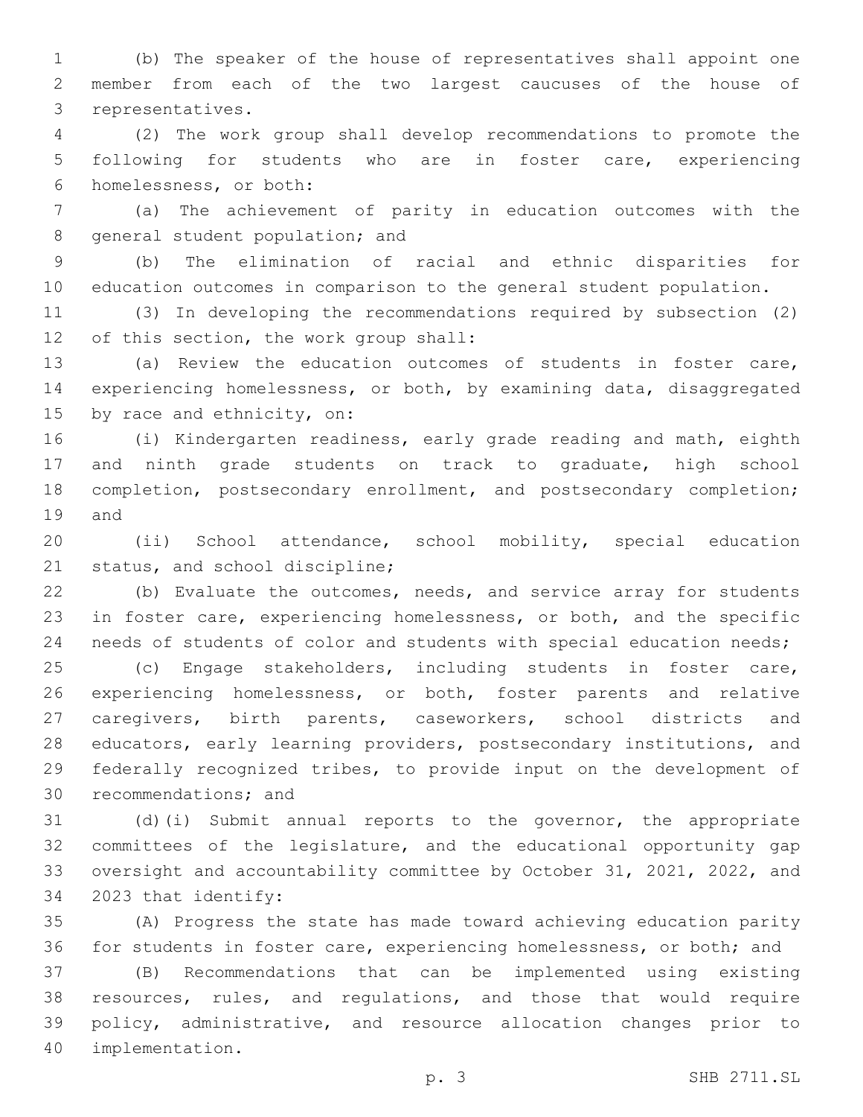(b) The speaker of the house of representatives shall appoint one member from each of the two largest caucuses of the house of 3 representatives.

 (2) The work group shall develop recommendations to promote the following for students who are in foster care, experiencing 6 homelessness, or both:

 (a) The achievement of parity in education outcomes with the 8 general student population; and

 (b) The elimination of racial and ethnic disparities for education outcomes in comparison to the general student population.

 (3) In developing the recommendations required by subsection (2) 12 of this section, the work group shall:

 (a) Review the education outcomes of students in foster care, experiencing homelessness, or both, by examining data, disaggregated 15 by race and ethnicity, on:

 (i) Kindergarten readiness, early grade reading and math, eighth and ninth grade students on track to graduate, high school completion, postsecondary enrollment, and postsecondary completion; 19 and

 (ii) School attendance, school mobility, special education 21 status, and school discipline;

 (b) Evaluate the outcomes, needs, and service array for students in foster care, experiencing homelessness, or both, and the specific 24 needs of students of color and students with special education needs;

 (c) Engage stakeholders, including students in foster care, experiencing homelessness, or both, foster parents and relative caregivers, birth parents, caseworkers, school districts and educators, early learning providers, postsecondary institutions, and federally recognized tribes, to provide input on the development of 30 recommendations; and

 (d)(i) Submit annual reports to the governor, the appropriate committees of the legislature, and the educational opportunity gap oversight and accountability committee by October 31, 2021, 2022, and 34 2023 that identify:

 (A) Progress the state has made toward achieving education parity for students in foster care, experiencing homelessness, or both; and

 (B) Recommendations that can be implemented using existing resources, rules, and regulations, and those that would require policy, administrative, and resource allocation changes prior to implementation.40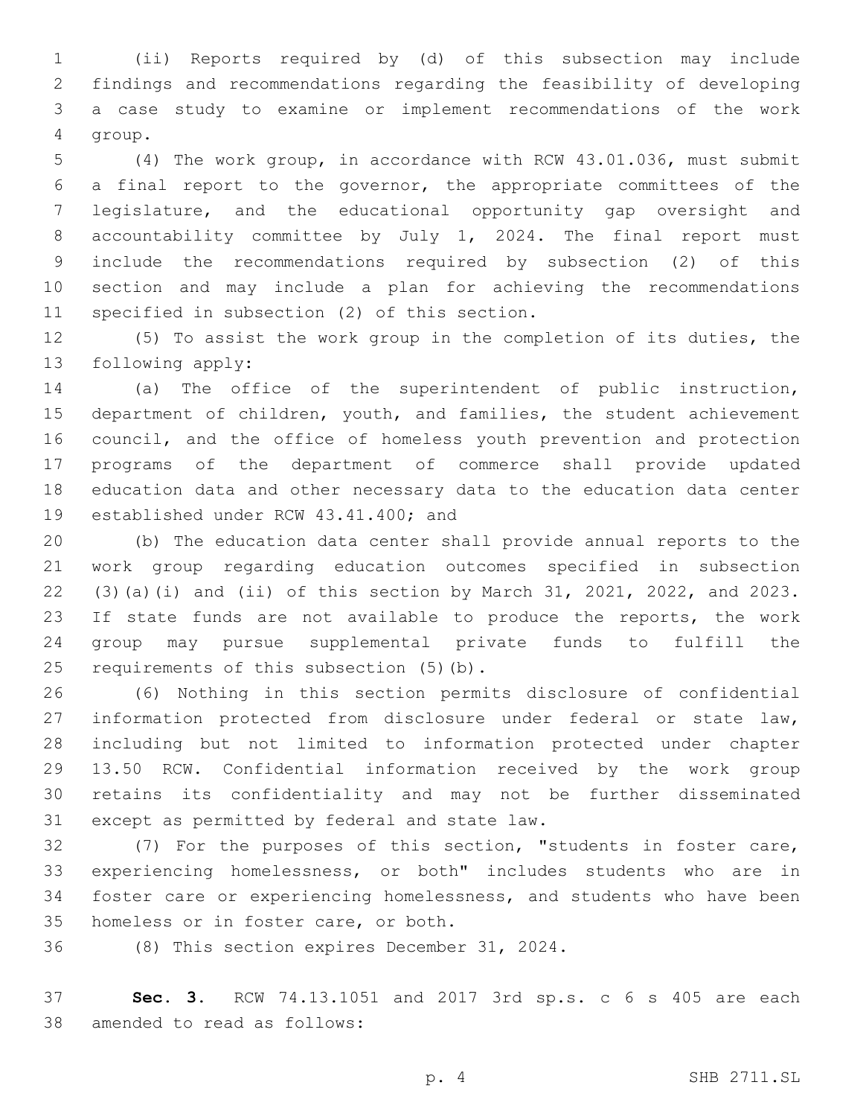(ii) Reports required by (d) of this subsection may include findings and recommendations regarding the feasibility of developing a case study to examine or implement recommendations of the work 4 group.

 (4) The work group, in accordance with RCW 43.01.036, must submit a final report to the governor, the appropriate committees of the legislature, and the educational opportunity gap oversight and accountability committee by July 1, 2024. The final report must include the recommendations required by subsection (2) of this section and may include a plan for achieving the recommendations 11 specified in subsection (2) of this section.

 (5) To assist the work group in the completion of its duties, the 13 following apply:

 (a) The office of the superintendent of public instruction, department of children, youth, and families, the student achievement council, and the office of homeless youth prevention and protection programs of the department of commerce shall provide updated education data and other necessary data to the education data center 19 established under RCW 43.41.400; and

 (b) The education data center shall provide annual reports to the work group regarding education outcomes specified in subsection (3)(a)(i) and (ii) of this section by March 31, 2021, 2022, and 2023. If state funds are not available to produce the reports, the work group may pursue supplemental private funds to fulfill the 25 requirements of this subsection (5)(b).

 (6) Nothing in this section permits disclosure of confidential information protected from disclosure under federal or state law, including but not limited to information protected under chapter 13.50 RCW. Confidential information received by the work group retains its confidentiality and may not be further disseminated 31 except as permitted by federal and state law.

 (7) For the purposes of this section, "students in foster care, experiencing homelessness, or both" includes students who are in foster care or experiencing homelessness, and students who have been 35 homeless or in foster care, or both.

36 (8) This section expires December 31, 2024.

 **Sec. 3.** RCW 74.13.1051 and 2017 3rd sp.s. c 6 s 405 are each 38 amended to read as follows: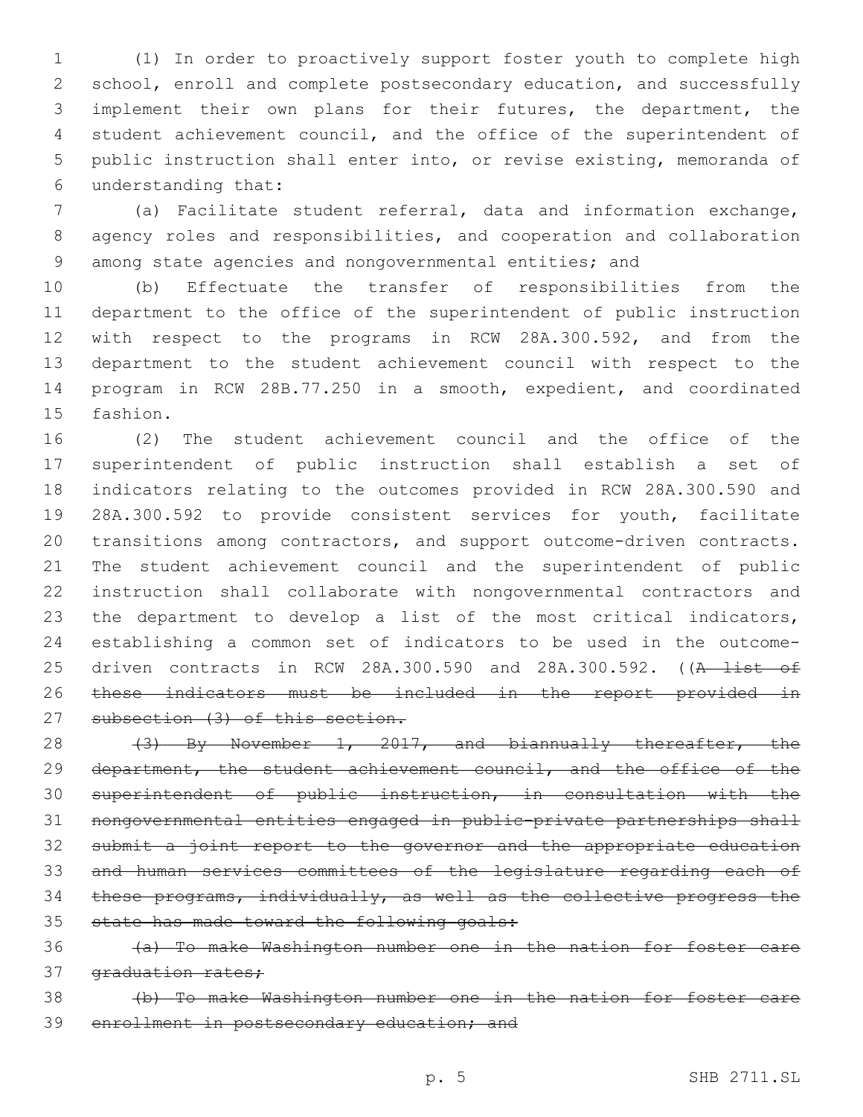(1) In order to proactively support foster youth to complete high school, enroll and complete postsecondary education, and successfully implement their own plans for their futures, the department, the student achievement council, and the office of the superintendent of public instruction shall enter into, or revise existing, memoranda of understanding that:6

 (a) Facilitate student referral, data and information exchange, agency roles and responsibilities, and cooperation and collaboration among state agencies and nongovernmental entities; and

 (b) Effectuate the transfer of responsibilities from the department to the office of the superintendent of public instruction with respect to the programs in RCW 28A.300.592, and from the department to the student achievement council with respect to the program in RCW 28B.77.250 in a smooth, expedient, and coordinated 15 fashion.

 (2) The student achievement council and the office of the superintendent of public instruction shall establish a set of indicators relating to the outcomes provided in RCW 28A.300.590 and 28A.300.592 to provide consistent services for youth, facilitate transitions among contractors, and support outcome-driven contracts. The student achievement council and the superintendent of public instruction shall collaborate with nongovernmental contractors and the department to develop a list of the most critical indicators, establishing a common set of indicators to be used in the outcome-25 driven contracts in RCW 28A.300.590 and 28A.300.592. ((A list of these indicators must be included in the report provided in 27 subsection (3) of this section.

28 (3) By November 1, 2017, and biannually thereafter, the 29 department, the student achievement council, and the office of the superintendent of public instruction, in consultation with the nongovernmental entities engaged in public-private partnerships shall submit a joint report to the governor and the appropriate education and human services committees of the legislature regarding each of these programs, individually, as well as the collective progress the state has made toward the following goals:

 (a) To make Washington number one in the nation for foster care 37 graduation rates;

 (b) To make Washington number one in the nation for foster care 39 enrollment in postsecondary education; and

p. 5 SHB 2711.SL